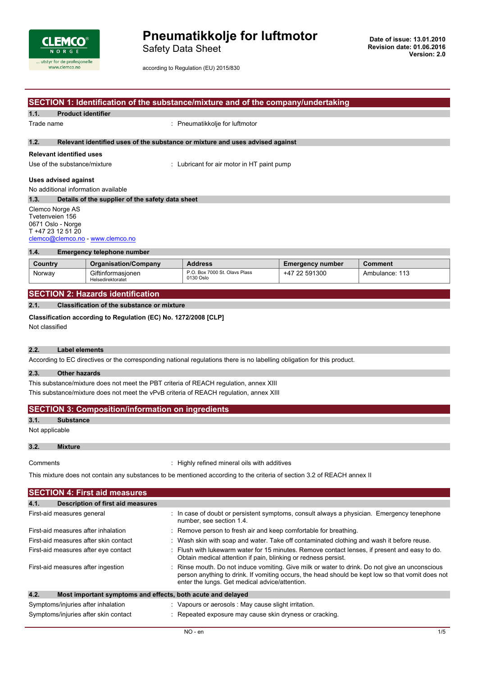

Safety Data Sheet

according to Regulation (EU) 2015/830

# **SECTION 1: Identification of the substance/mixture and of the company/undertaking 1.1. Product identifier** Trade name  $\qquad \qquad :$  Pneumatikkolje for luftmotor **1.2. Relevant identified uses of the substance or mixture and uses advised against Relevant identified uses** Use of the substance/mixture : Lubricant for air motor in HT paint pump **Uses advised against** No additional information available **1.3. Details of the supplier of the safety data sheet** Clemco Norge AS Tvetenveien 156 0671 Oslo - Norge T +47 23 12 51 20 [clemco@clemco.no](mailto:clemco@clemco.no) - <www.clemco.no> **1.4. Emergency telephone number**

| Country | <b>Organisation/Company</b>            | <b>Address</b>                             | <b>Emergency number</b> | Comment        |
|---------|----------------------------------------|--------------------------------------------|-------------------------|----------------|
| Norway  | Giftinformasionen<br>Helsedirektoratet | P.O. Box 7000 St. Olavs Plass<br>0130 Oslo | +47 22 591300           | Ambulance: 113 |

## **SECTION 2: Hazards identification**

## **2.1. Classification of the substance or mixture**

**Classification according to Regulation (EC) No. 1272/2008 [CLP]**

Not classified

## **2.2. Label elements**

According to EC directives or the corresponding national regulations there is no labelling obligation for this product.

### **2.3. Other hazards**

This substance/mixture does not meet the PBT criteria of REACH regulation, annex XIII This substance/mixture does not meet the vPvB criteria of REACH regulation, annex XIII

|                | <b>SECTION 3: Composition/information on ingredients</b> |
|----------------|----------------------------------------------------------|
| 3.1.           | Substance                                                |
| Not applicable |                                                          |

### **3.2. Mixture**

Comments **Comments** : Highly refined mineral oils with additives

This mixture does not contain any substances to be mentioned according to the criteria of section 3.2 of REACH annex II

| <b>SECTION 4: First aid measures</b>  |                                          |                                                                                                                                                                                                                                                    |  |  |
|---------------------------------------|------------------------------------------|----------------------------------------------------------------------------------------------------------------------------------------------------------------------------------------------------------------------------------------------------|--|--|
| 4.1.                                  | <b>Description of first aid measures</b> |                                                                                                                                                                                                                                                    |  |  |
| First-aid measures general            |                                          | : In case of doubt or persistent symptoms, consult always a physician. Emergency tenephone<br>number, see section 1.4.                                                                                                                             |  |  |
| First-aid measures after inhalation   |                                          | : Remove person to fresh air and keep comfortable for breathing.                                                                                                                                                                                   |  |  |
| First-aid measures after skin contact |                                          | : Wash skin with soap and water. Take off contaminated clothing and wash it before reuse.                                                                                                                                                          |  |  |
| First-aid measures after eye contact  |                                          | : Flush with lukewarm water for 15 minutes. Remove contact lenses, if present and easy to do.<br>Obtain medical attention if pain, blinking or redness persist.                                                                                    |  |  |
| First-aid measures after ingestion    |                                          | Rinse mouth. Do not induce vomiting. Give milk or water to drink. Do not give an unconscious<br>person anything to drink. If vomiting occurs, the head should be kept low so that vomit does not<br>enter the lungs. Get medical advice/attention. |  |  |
| 4.2.                                  |                                          | Most important symptoms and effects, both acute and delayed                                                                                                                                                                                        |  |  |
| Symptoms/injuries after inhalation    |                                          | : Vapours or aerosols : May cause slight irritation.                                                                                                                                                                                               |  |  |
| Symptoms/injuries after skin contact  |                                          | : Repeated exposure may cause skin dryness or cracking.                                                                                                                                                                                            |  |  |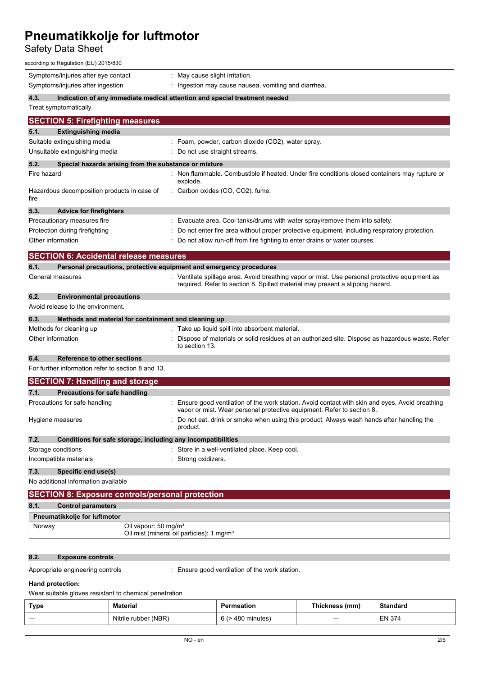## Safety Data Sheet

| according to Regulation (EU) 2015/830                                       |                                                                                                                                                                                 |  |  |  |
|-----------------------------------------------------------------------------|---------------------------------------------------------------------------------------------------------------------------------------------------------------------------------|--|--|--|
| Symptoms/injuries after eye contact                                         | : May cause slight irritation.                                                                                                                                                  |  |  |  |
| Symptoms/injuries after ingestion                                           | : Ingestion may cause nausea, vomiting and diarrhea.                                                                                                                            |  |  |  |
| 4.3.                                                                        | Indication of any immediate medical attention and special treatment needed                                                                                                      |  |  |  |
| Treat symptomatically.                                                      |                                                                                                                                                                                 |  |  |  |
| <b>SECTION 5: Firefighting measures</b>                                     |                                                                                                                                                                                 |  |  |  |
| 5.1.<br><b>Extinguishing media</b>                                          |                                                                                                                                                                                 |  |  |  |
| Suitable extinguishing media                                                | : Foam, powder, carbon dioxide (CO2), water spray.                                                                                                                              |  |  |  |
| Unsuitable extinguishing media                                              | Do not use straight streams.                                                                                                                                                    |  |  |  |
| 5.2.<br>Special hazards arising from the substance or mixture               |                                                                                                                                                                                 |  |  |  |
| Fire hazard                                                                 | : Non flammable. Combustible if heated. Under fire conditions closed containers may rupture or<br>explode.                                                                      |  |  |  |
| Hazardous decomposition products in case of<br>fire                         | Carbon oxides (CO, CO2). fume.                                                                                                                                                  |  |  |  |
| 5.3.<br><b>Advice for firefighters</b>                                      |                                                                                                                                                                                 |  |  |  |
| Precautionary measures fire                                                 | : Evacuate area. Cool tanks/drums with water spray/remove them into safety.                                                                                                     |  |  |  |
| Protection during firefighting                                              | Do not enter fire area without proper protective equipment, including respiratory protection.                                                                                   |  |  |  |
| Other information                                                           | : Do not allow run-off from fire fighting to enter drains or water courses.                                                                                                     |  |  |  |
| <b>SECTION 6: Accidental release measures</b>                               |                                                                                                                                                                                 |  |  |  |
| 6.1.<br>Personal precautions, protective equipment and emergency procedures |                                                                                                                                                                                 |  |  |  |
| General measures                                                            | : Ventilate spillage area. Avoid breathing vapor or mist. Use personal protective equipment as<br>required. Refer to section 8. Spilled material may present a slipping hazard. |  |  |  |
| 6.2.<br><b>Environmental precautions</b>                                    |                                                                                                                                                                                 |  |  |  |
| Avoid release to the environment.                                           |                                                                                                                                                                                 |  |  |  |
| 6.3.<br>Methods and material for containment and cleaning up                |                                                                                                                                                                                 |  |  |  |
| Methods for cleaning up                                                     | : Take up liquid spill into absorbent material.                                                                                                                                 |  |  |  |
| Other information                                                           | Dispose of materials or solid residues at an authorized site. Dispose as hazardous waste. Refer<br>to section 13.                                                               |  |  |  |
| 6.4.<br>Reference to other sections                                         |                                                                                                                                                                                 |  |  |  |
| For further information refer to section 8 and 13.                          |                                                                                                                                                                                 |  |  |  |
| <b>SECTION 7: Handling and storage</b>                                      |                                                                                                                                                                                 |  |  |  |
| Precautions for safe handling<br>7.1.                                       |                                                                                                                                                                                 |  |  |  |
| Precautions for safe handling                                               | : Ensure good ventilation of the work station. Avoid contact with skin and eyes. Avoid breathing<br>vapor or mist. Wear personal protective equipment. Refer to section 8.      |  |  |  |
| Hygiene measures                                                            | Do not eat, drink or smoke when using this product. Always wash hands after handling the<br>product.                                                                            |  |  |  |
| 7.2.<br>Conditions for safe storage, including any incompatibilities        |                                                                                                                                                                                 |  |  |  |
| Storage conditions                                                          | : Store in a well-ventilated place. Keep cool.                                                                                                                                  |  |  |  |
| Incompatible materials                                                      | : Strong oxidizers.                                                                                                                                                             |  |  |  |
| 7.3.<br>Specific end use(s)                                                 |                                                                                                                                                                                 |  |  |  |
| No additional information available                                         |                                                                                                                                                                                 |  |  |  |
| <b>SECTION 8: Exposure controls/personal protection</b>                     |                                                                                                                                                                                 |  |  |  |
| 8.1.<br><b>Control parameters</b>                                           |                                                                                                                                                                                 |  |  |  |
| Pneumatikkolje for luftmotor                                                |                                                                                                                                                                                 |  |  |  |
| Oil vapour: 50 mg/m <sup>3</sup><br>Norway                                  | Oil mist (mineral oil particles): 1 mg/m <sup>3</sup>                                                                                                                           |  |  |  |
|                                                                             |                                                                                                                                                                                 |  |  |  |

## **8.2. Exposure controls**

Appropriate engineering controls : Ensure good ventilation of the work station.

## **Hand protection:**

Wear suitable gloves resistant to chemical penetration

| Type | <b>Material</b>            |                  | mm    | ıdard         |
|------|----------------------------|------------------|-------|---------------|
| ---  | (NBR)<br>Nitrile r<br>ubbe | - 6 C<br>minutes | $---$ | <b>EN 374</b> |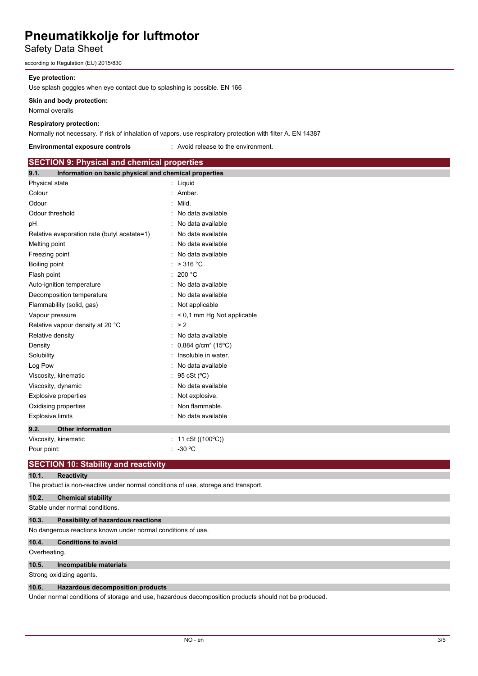# Safety Data Sheet

according to Regulation (EU) 2015/830

### **Eye protection:**

Use splash goggles when eye contact due to splashing is possible. EN 166

### **Skin and body protection:**

Normal overalls

### **Respiratory protection:**

Normally not necessary. If risk of inhalation of vapors, use respiratory protection with filter A. EN 14387

#### **Environmental exposure controls** : Avoid release to the environment.

| <b>SECTION 9: Physical and chemical properties</b>            |                                               |
|---------------------------------------------------------------|-----------------------------------------------|
| Information on basic physical and chemical properties<br>9.1. |                                               |
| Physical state                                                | : Liquid                                      |
| Colour                                                        | : Amber.                                      |
| Odour                                                         | Mild.                                         |
| Odour threshold                                               | No data available                             |
| рH                                                            | No data available                             |
| Relative evaporation rate (butyl acetate=1)                   | : No data available                           |
| Melting point                                                 | No data available                             |
| Freezing point                                                | No data available                             |
| Boiling point                                                 | $:$ > 316 °C                                  |
| Flash point                                                   | : 200 °C                                      |
| Auto-ignition temperature                                     | : No data available                           |
| Decomposition temperature                                     | : No data available                           |
| Flammability (solid, gas)                                     | : Not applicable                              |
| Vapour pressure                                               | < 0,1 mm Hg Not applicable                    |
| Relative vapour density at 20 °C                              | $\therefore$ > 2                              |
| Relative density                                              | No data available                             |
| Density                                                       | $0,884$ g/cm <sup>3</sup> (15 <sup>o</sup> C) |
| Solubility                                                    | Insoluble in water.                           |
| Log Pow                                                       | : No data available                           |
| Viscosity, kinematic                                          | 95 cSt (°C)                                   |
| Viscosity, dynamic                                            | No data available                             |
| <b>Explosive properties</b>                                   | Not explosive.                                |
| Oxidising properties                                          | Non flammable.                                |
| <b>Explosive limits</b>                                       | No data available                             |
| 9.2.<br><b>Other information</b>                              |                                               |
| Viscosity, kinematic                                          | : 11 cSt ( $(100^{\circ}C)$ )                 |
| Pour point:                                                   | $-30 °C$                                      |

## **SECTION 10: Stability and reactivity**

## **10.1. Reactivity**

The product is non-reactive under normal conditions of use, storage and transport.

## **10.2. Chemical stability**

Stable under normal conditions.

## **10.3. Possibility of hazardous reactions**

No dangerous reactions known under normal conditions of use.

## **10.4. Conditions to avoid**

### Overheating.

**10.5. Incompatible materials**

Strong oxidizing agents.

### **10.6. Hazardous decomposition products**

Under normal conditions of storage and use, hazardous decomposition products should not be produced.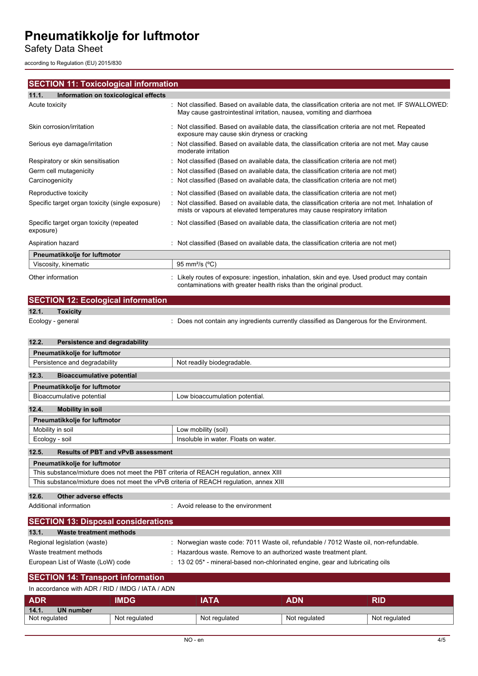Safety Data Sheet

according to Regulation (EU) 2015/830

## **SECTION 11: Toxicological information**

## **11.1. Information on toxicological effects**

| Acute toxicity                                        | : Not classified. Based on available data, the classification criteria are not met. IF SWALLOWED:<br>May cause gastrointestinal irritation, nausea, vomiting and diarrhoea      |
|-------------------------------------------------------|---------------------------------------------------------------------------------------------------------------------------------------------------------------------------------|
| Skin corrosion/irritation                             | : Not classified. Based on available data, the classification criteria are not met. Repeated<br>exposure may cause skin dryness or cracking                                     |
| Serious eye damage/irritation                         | : Not classified. Based on available data, the classification criteria are not met. May cause<br>moderate irritation                                                            |
| Respiratory or skin sensitisation                     | : Not classified (Based on available data, the classification criteria are not met)                                                                                             |
| Germ cell mutagenicity                                | : Not classified (Based on available data, the classification criteria are not met)                                                                                             |
| Carcinogenicity                                       | : Not classified (Based on available data, the classification criteria are not met)                                                                                             |
| Reproductive toxicity                                 | : Not classified (Based on available data, the classification criteria are not met)                                                                                             |
| Specific target organ toxicity (single exposure)      | : Not classified. Based on available data, the classification criteria are not met. Inhalation of<br>mists or vapours at elevated temperatures may cause respiratory irritation |
| Specific target organ toxicity (repeated<br>exposure) | : Not classified (Based on available data, the classification criteria are not met)                                                                                             |
| Aspiration hazard                                     | : Not classified (Based on available data, the classification criteria are not met)                                                                                             |
| Pneumatikkolje for luftmotor                          |                                                                                                                                                                                 |
| Viscosity, kinematic                                  | 95 mm <sup>2</sup> /s (°C)                                                                                                                                                      |
| Other information                                     | Likely routes of exposure: ingestion, inhalation, skin and eye. Used product may contain<br>contaminations with greater health risks than the original product.                 |

| <b>OXICITY</b> |
|----------------|

Ecology - general **interpretatal** : Does not contain any ingredients currently classified as Dangerous for the Environment.

## **12.2. Persistence and degradability**

**SECTION 12: Ecological information**

| Pneumatikkolje for luftmotor                       |                                      |
|----------------------------------------------------|--------------------------------------|
| Persistence and degradability                      | Not readily biodegradable.           |
|                                                    |                                      |
| 12.3.<br><b>Bioaccumulative potential</b>          |                                      |
| Pneumatikkolje for luftmotor                       |                                      |
| Bioaccumulative potential                          | Low bioaccumulation potential.       |
|                                                    |                                      |
| 12.4.<br><b>Mobility in soil</b>                   |                                      |
| Pneumatikkolje for luftmotor                       |                                      |
| Mobility in soil                                   | Low mobility (soil)                  |
| Ecology - soil                                     | Insoluble in water. Floats on water. |
|                                                    |                                      |
| 12.5.<br><b>Results of PBT and vPvB assessment</b> |                                      |
| Pneumatikkolje for luftmotor                       |                                      |

| This substance/mixture does not meet the PBT criteria of REACH regulation, annex XIII  |
|----------------------------------------------------------------------------------------|
| This substance/mixture does not meet the vPvB criteria of REACH regulation, annex XIII |
|                                                                                        |

## **12.6. Other adverse effects**

Additional information **interest in the environment** : Avoid release to the environment

| <b>SECTION 13: Disposal considerations</b> |                                                                                       |  |  |
|--------------------------------------------|---------------------------------------------------------------------------------------|--|--|
| 13.1.<br>Waste treatment methods           |                                                                                       |  |  |
| Regional legislation (waste)               | : Norwegian waste code: 7011 Waste oil, refundable / 7012 Waste oil, non-refundable.  |  |  |
| Waste treatment methods                    | : Hazardous waste. Remove to an authorized waste treatment plant.                     |  |  |
| European List of Waste (LoW) code          | $\pm$ 13 02 05 $^*$ - mineral-based non-chlorinated engine, gear and lubricating oils |  |  |

#### **SECTION 14: Transport information** In accordance with ADR / RID / IMDG / IATA / ADN

| III accoluatice willi ADR / RID / INDG / IATA / ADN |               |               |               |               |  |  |
|-----------------------------------------------------|---------------|---------------|---------------|---------------|--|--|
| <b>ADR</b>                                          | <b>IMDG</b>   | IATA          | ADN           | RID           |  |  |
| 14.1.<br>UN number                                  |               |               |               |               |  |  |
| Not regulated                                       | Not regulated | Not regulated | Not regulated | Not regulated |  |  |
|                                                     |               |               |               |               |  |  |